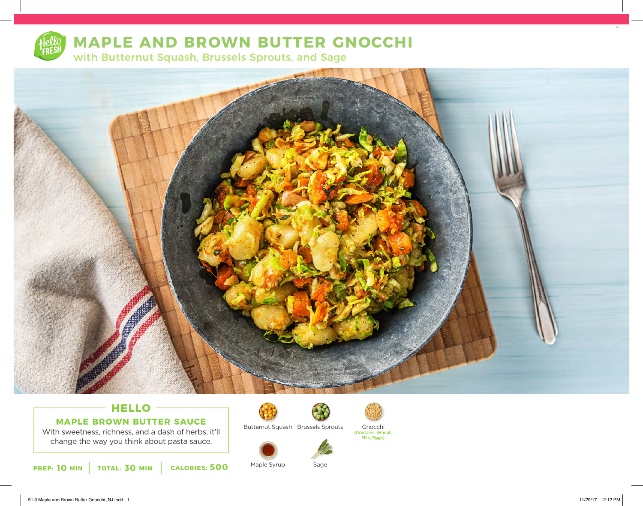

# **MAPLE AND BROWN BUTTER GNOCCHI**

with Butternut Squash, Brussels Sprouts, and Sage



### **HELLO MAPLE BROWN BUTTER SAUCE**

With sweetness, richness, and a dash of herbs, it'll change the way you think about pasta sauce.

**10** MIN | TOTAL: 30 MIN | CALORIES: 500



Butternut Squash Brussels Sprouts



Maple Syrup Sage



9